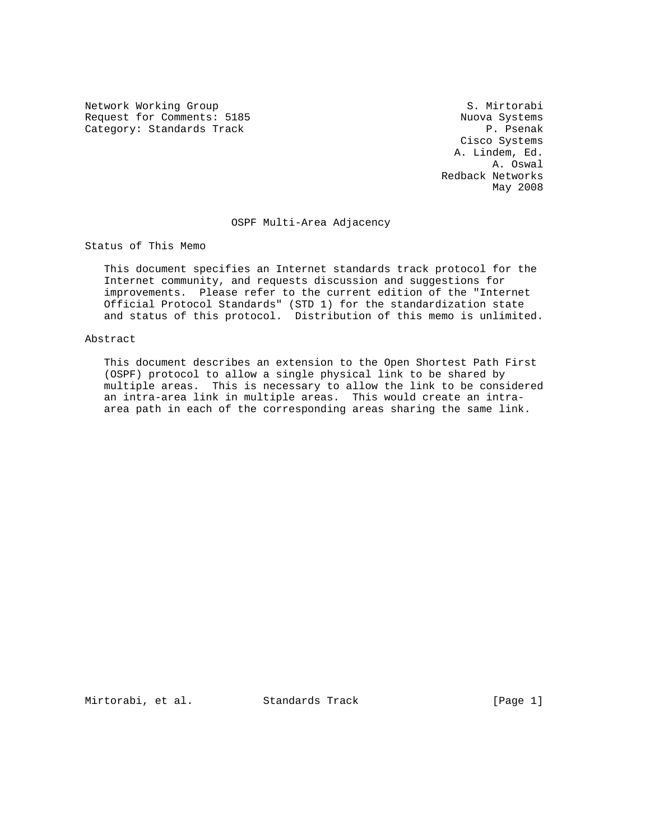Network Working Group S. Mirtorabi Request for Comments: 5185 Nuova Systems<br>
Category: Standards Track (Request for Standards Pack of Standards P. Pasenak Category: Standards Track

 Cisco Systems A. Lindem, Ed. A. Oswal Redback Networks May 2008

### OSPF Multi-Area Adjacency

Status of This Memo

 This document specifies an Internet standards track protocol for the Internet community, and requests discussion and suggestions for improvements. Please refer to the current edition of the "Internet Official Protocol Standards" (STD 1) for the standardization state and status of this protocol. Distribution of this memo is unlimited.

#### Abstract

 This document describes an extension to the Open Shortest Path First (OSPF) protocol to allow a single physical link to be shared by multiple areas. This is necessary to allow the link to be considered an intra-area link in multiple areas. This would create an intra area path in each of the corresponding areas sharing the same link.

Mirtorabi, et al. Standards Track [Page 1]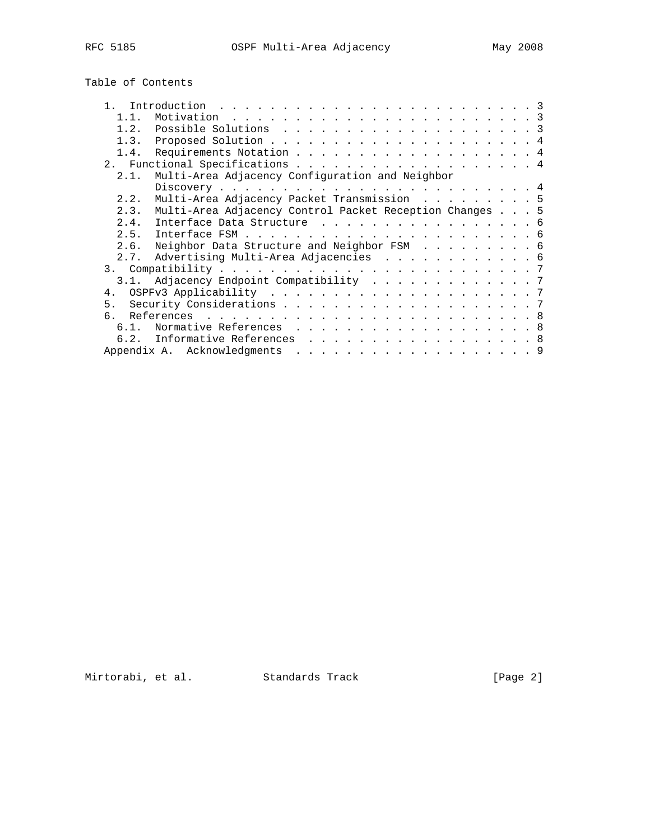# Table of Contents

| 1 1            |                                                         |  |
|----------------|---------------------------------------------------------|--|
| 1.2.           |                                                         |  |
| 1.3.           |                                                         |  |
| 1.4.           | Requirements Notation 4                                 |  |
|                | 2. Functional Specifications 4                          |  |
| 2.1.           | Multi-Area Adjacency Configuration and Neighbor         |  |
|                |                                                         |  |
| 2.2.           | Multi-Area Adjacency Packet Transmission 5              |  |
| 2.3.           | Multi-Area Adjacency Control Packet Reception Changes 5 |  |
| 2.4.           | Interface Data Structure 6                              |  |
|                |                                                         |  |
| 2.6.           | Neighbor Data Structure and Neighbor FSM 6              |  |
|                | 2.7. Advertising Multi-Area Adjacencies 6               |  |
|                |                                                         |  |
|                | 3.1. Adjacency Endpoint Compatibility 7                 |  |
|                |                                                         |  |
| 5 <sub>1</sub> |                                                         |  |
|                |                                                         |  |
| $6.1$ .        | Normative References 8                                  |  |
|                | 6.2. Informative References 8                           |  |
|                | Appendix A. Acknowledgments                             |  |

Mirtorabi, et al. Standards Track [Page 2]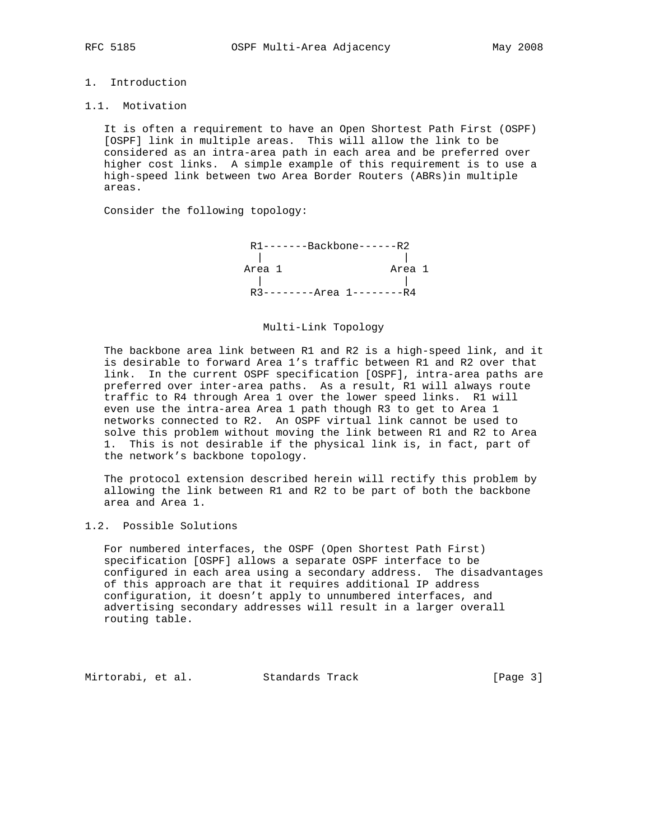# 1. Introduction

#### 1.1. Motivation

 It is often a requirement to have an Open Shortest Path First (OSPF) [OSPF] link in multiple areas. This will allow the link to be considered as an intra-area path in each area and be preferred over higher cost links. A simple example of this requirement is to use a high-speed link between two Area Border Routers (ABRs)in multiple areas.

Consider the following topology:



#### Multi-Link Topology

 The backbone area link between R1 and R2 is a high-speed link, and it is desirable to forward Area 1's traffic between R1 and R2 over that link. In the current OSPF specification [OSPF], intra-area paths are preferred over inter-area paths. As a result, R1 will always route traffic to R4 through Area 1 over the lower speed links. R1 will even use the intra-area Area 1 path though R3 to get to Area 1 networks connected to R2. An OSPF virtual link cannot be used to solve this problem without moving the link between R1 and R2 to Area 1. This is not desirable if the physical link is, in fact, part of the network's backbone topology.

 The protocol extension described herein will rectify this problem by allowing the link between R1 and R2 to be part of both the backbone area and Area 1.

## 1.2. Possible Solutions

 For numbered interfaces, the OSPF (Open Shortest Path First) specification [OSPF] allows a separate OSPF interface to be configured in each area using a secondary address. The disadvantages of this approach are that it requires additional IP address configuration, it doesn't apply to unnumbered interfaces, and advertising secondary addresses will result in a larger overall routing table.

Mirtorabi, et al. Standards Track [Page 3]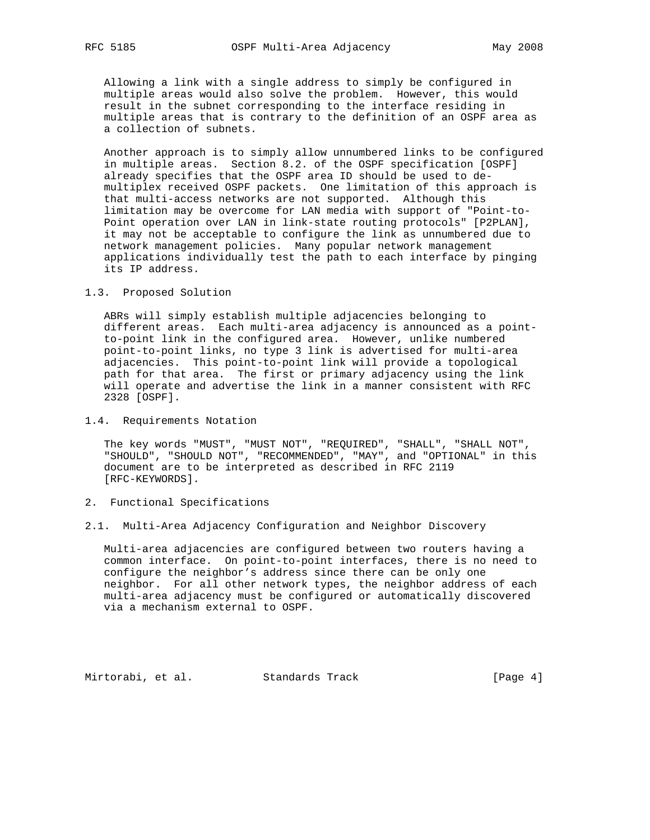Allowing a link with a single address to simply be configured in multiple areas would also solve the problem. However, this would result in the subnet corresponding to the interface residing in multiple areas that is contrary to the definition of an OSPF area as a collection of subnets.

 Another approach is to simply allow unnumbered links to be configured in multiple areas. Section 8.2. of the OSPF specification [OSPF] already specifies that the OSPF area ID should be used to de multiplex received OSPF packets. One limitation of this approach is that multi-access networks are not supported. Although this limitation may be overcome for LAN media with support of "Point-to- Point operation over LAN in link-state routing protocols" [P2PLAN], it may not be acceptable to configure the link as unnumbered due to network management policies. Many popular network management applications individually test the path to each interface by pinging its IP address.

#### 1.3. Proposed Solution

 ABRs will simply establish multiple adjacencies belonging to different areas. Each multi-area adjacency is announced as a point to-point link in the configured area. However, unlike numbered point-to-point links, no type 3 link is advertised for multi-area adjacencies. This point-to-point link will provide a topological path for that area. The first or primary adjacency using the link will operate and advertise the link in a manner consistent with RFC 2328 [OSPF].

#### 1.4. Requirements Notation

 The key words "MUST", "MUST NOT", "REQUIRED", "SHALL", "SHALL NOT", "SHOULD", "SHOULD NOT", "RECOMMENDED", "MAY", and "OPTIONAL" in this document are to be interpreted as described in RFC 2119 [RFC-KEYWORDS].

#### 2. Functional Specifications

#### 2.1. Multi-Area Adjacency Configuration and Neighbor Discovery

 Multi-area adjacencies are configured between two routers having a common interface. On point-to-point interfaces, there is no need to configure the neighbor's address since there can be only one neighbor. For all other network types, the neighbor address of each multi-area adjacency must be configured or automatically discovered via a mechanism external to OSPF.

Mirtorabi, et al. Standards Track [Page 4]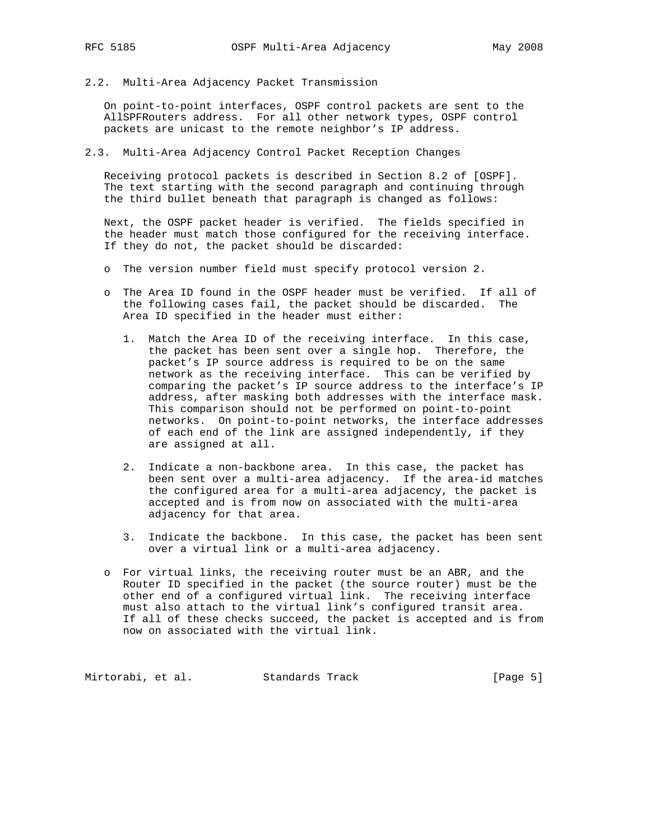2.2. Multi-Area Adjacency Packet Transmission

 On point-to-point interfaces, OSPF control packets are sent to the AllSPFRouters address. For all other network types, OSPF control packets are unicast to the remote neighbor's IP address.

2.3. Multi-Area Adjacency Control Packet Reception Changes

 Receiving protocol packets is described in Section 8.2 of [OSPF]. The text starting with the second paragraph and continuing through the third bullet beneath that paragraph is changed as follows:

 Next, the OSPF packet header is verified. The fields specified in the header must match those configured for the receiving interface. If they do not, the packet should be discarded:

- o The version number field must specify protocol version 2.
- o The Area ID found in the OSPF header must be verified. If all of the following cases fail, the packet should be discarded. The Area ID specified in the header must either:
	- 1. Match the Area ID of the receiving interface. In this case, the packet has been sent over a single hop. Therefore, the packet's IP source address is required to be on the same network as the receiving interface. This can be verified by comparing the packet's IP source address to the interface's IP address, after masking both addresses with the interface mask. This comparison should not be performed on point-to-point networks. On point-to-point networks, the interface addresses of each end of the link are assigned independently, if they are assigned at all.
	- 2. Indicate a non-backbone area. In this case, the packet has been sent over a multi-area adjacency. If the area-id matches the configured area for a multi-area adjacency, the packet is accepted and is from now on associated with the multi-area adjacency for that area.
	- 3. Indicate the backbone. In this case, the packet has been sent over a virtual link or a multi-area adjacency.
- o For virtual links, the receiving router must be an ABR, and the Router ID specified in the packet (the source router) must be the other end of a configured virtual link. The receiving interface must also attach to the virtual link's configured transit area. If all of these checks succeed, the packet is accepted and is from now on associated with the virtual link.

Mirtorabi, et al. Standards Track [Page 5]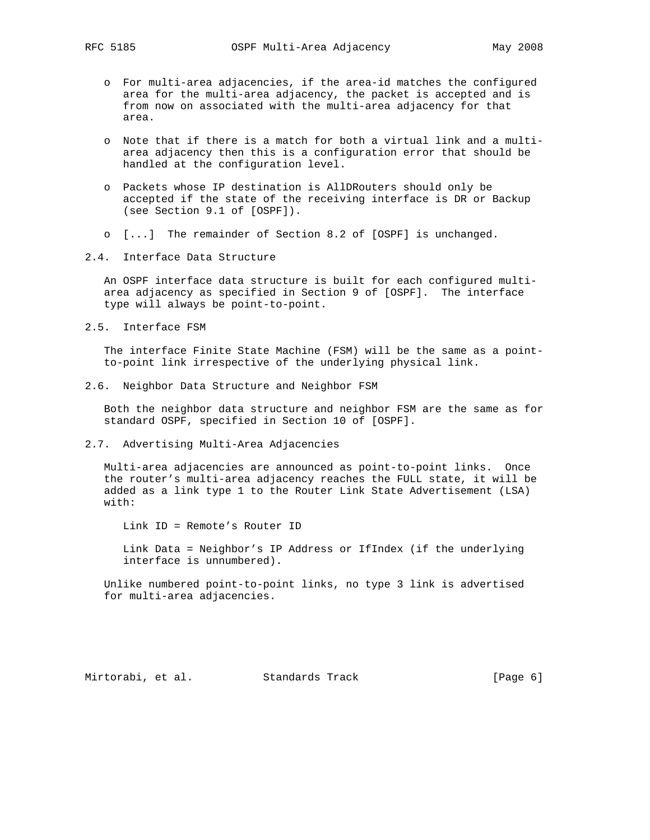- o For multi-area adjacencies, if the area-id matches the configured area for the multi-area adjacency, the packet is accepted and is from now on associated with the multi-area adjacency for that area.
- o Note that if there is a match for both a virtual link and a multi area adjacency then this is a configuration error that should be handled at the configuration level.
- o Packets whose IP destination is AllDRouters should only be accepted if the state of the receiving interface is DR or Backup (see Section 9.1 of [OSPF]).
- o [...] The remainder of Section 8.2 of [OSPF] is unchanged.
- 2.4. Interface Data Structure

 An OSPF interface data structure is built for each configured multi area adjacency as specified in Section 9 of [OSPF]. The interface type will always be point-to-point.

2.5. Interface FSM

 The interface Finite State Machine (FSM) will be the same as a point to-point link irrespective of the underlying physical link.

2.6. Neighbor Data Structure and Neighbor FSM

 Both the neighbor data structure and neighbor FSM are the same as for standard OSPF, specified in Section 10 of [OSPF].

2.7. Advertising Multi-Area Adjacencies

 Multi-area adjacencies are announced as point-to-point links. Once the router's multi-area adjacency reaches the FULL state, it will be added as a link type 1 to the Router Link State Advertisement (LSA) with:

Link ID = Remote's Router ID

 Link Data = Neighbor's IP Address or IfIndex (if the underlying interface is unnumbered).

 Unlike numbered point-to-point links, no type 3 link is advertised for multi-area adjacencies.

Mirtorabi, et al. Standards Track (Page 6)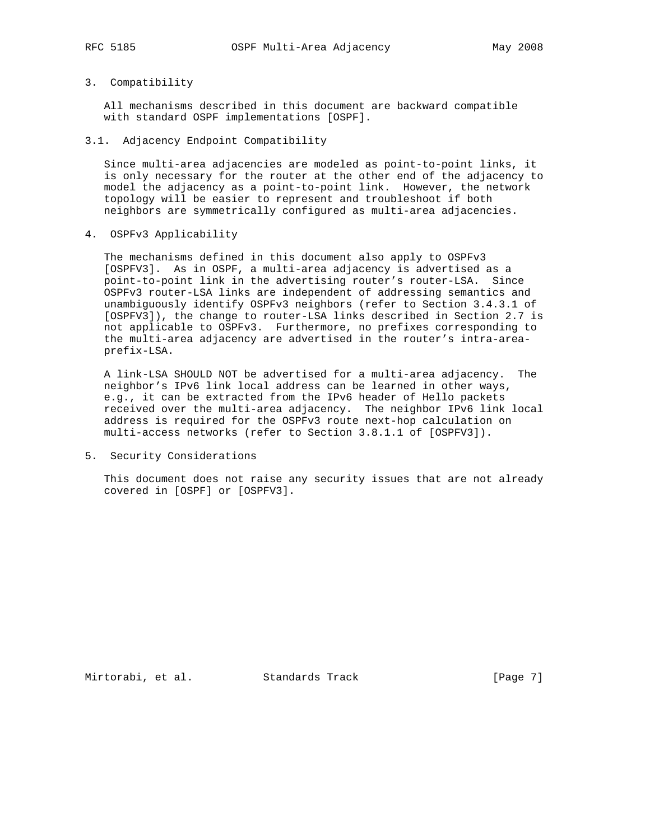### 3. Compatibility

 All mechanisms described in this document are backward compatible with standard OSPF implementations [OSPF].

3.1. Adjacency Endpoint Compatibility

 Since multi-area adjacencies are modeled as point-to-point links, it is only necessary for the router at the other end of the adjacency to model the adjacency as a point-to-point link. However, the network topology will be easier to represent and troubleshoot if both neighbors are symmetrically configured as multi-area adjacencies.

4. OSPFv3 Applicability

 The mechanisms defined in this document also apply to OSPFv3 [OSPFV3]. As in OSPF, a multi-area adjacency is advertised as a point-to-point link in the advertising router's router-LSA. Since OSPFv3 router-LSA links are independent of addressing semantics and unambiguously identify OSPFv3 neighbors (refer to Section 3.4.3.1 of [OSPFV3]), the change to router-LSA links described in Section 2.7 is not applicable to OSPFv3. Furthermore, no prefixes corresponding to the multi-area adjacency are advertised in the router's intra-area prefix-LSA.

 A link-LSA SHOULD NOT be advertised for a multi-area adjacency. The neighbor's IPv6 link local address can be learned in other ways, e.g., it can be extracted from the IPv6 header of Hello packets received over the multi-area adjacency. The neighbor IPv6 link local address is required for the OSPFv3 route next-hop calculation on multi-access networks (refer to Section 3.8.1.1 of [OSPFV3]).

5. Security Considerations

 This document does not raise any security issues that are not already covered in [OSPF] or [OSPFV3].

Mirtorabi, et al. Standards Track [Page 7]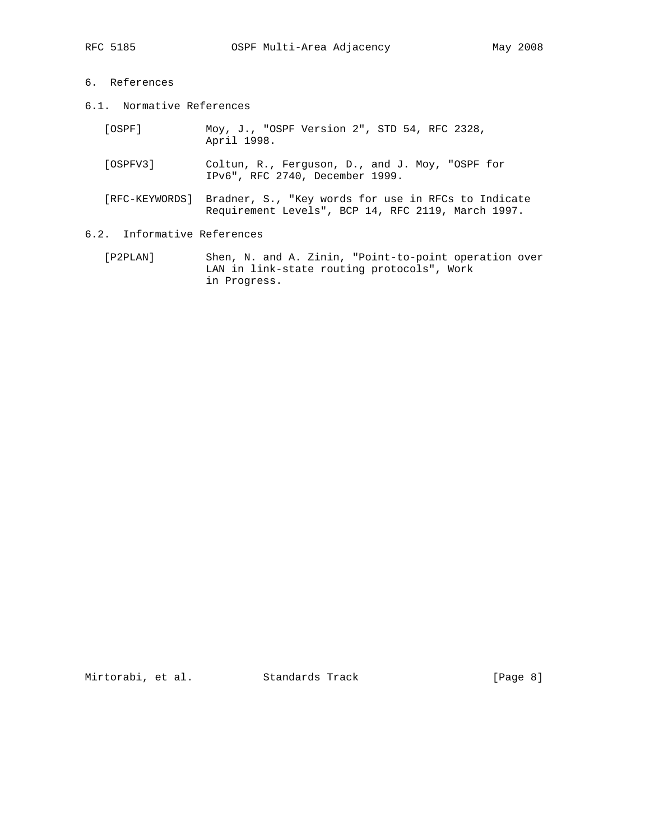# 6. References

- 6.1. Normative References
	- [OSPF] Moy, J., "OSPF Version 2", STD 54, RFC 2328, April 1998.
	- [OSPFV3] Coltun, R., Ferguson, D., and J. Moy, "OSPF for IPv6", RFC 2740, December 1999.
	- [RFC-KEYWORDS] Bradner, S., "Key words for use in RFCs to Indicate Requirement Levels", BCP 14, RFC 2119, March 1997.
- 6.2. Informative References
	- [P2PLAN] Shen, N. and A. Zinin, "Point-to-point operation over LAN in link-state routing protocols", Work in Progress.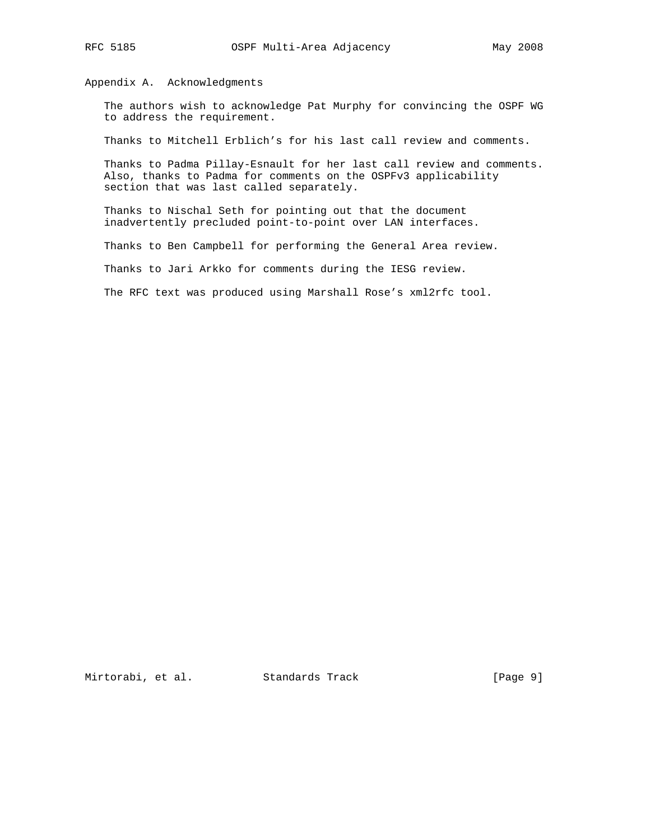Appendix A. Acknowledgments

 The authors wish to acknowledge Pat Murphy for convincing the OSPF WG to address the requirement.

Thanks to Mitchell Erblich's for his last call review and comments.

 Thanks to Padma Pillay-Esnault for her last call review and comments. Also, thanks to Padma for comments on the OSPFv3 applicability section that was last called separately.

 Thanks to Nischal Seth for pointing out that the document inadvertently precluded point-to-point over LAN interfaces.

Thanks to Ben Campbell for performing the General Area review.

Thanks to Jari Arkko for comments during the IESG review.

The RFC text was produced using Marshall Rose's xml2rfc tool.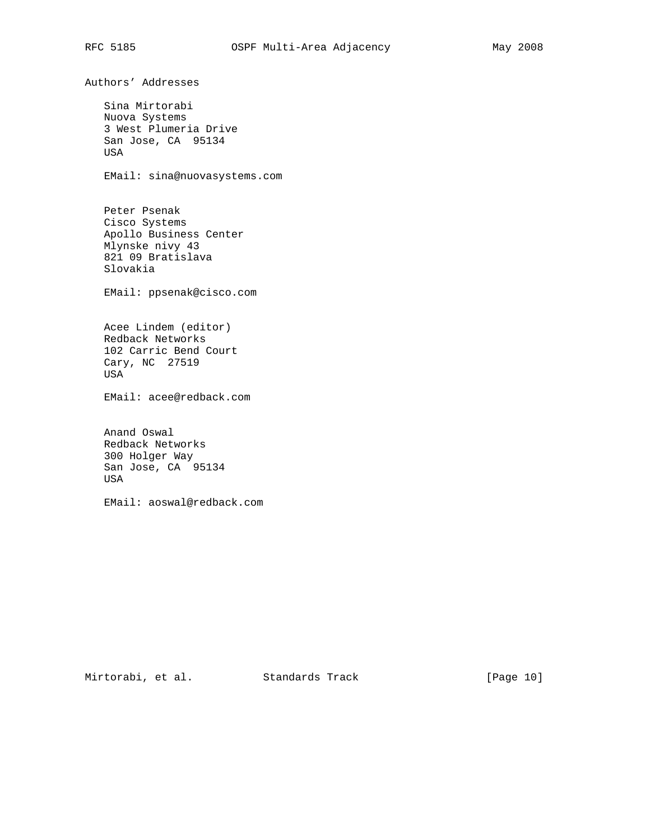Authors' Addresses

 Sina Mirtorabi Nuova Systems 3 West Plumeria Drive San Jose, CA 95134 USA

EMail: sina@nuovasystems.com

 Peter Psenak Cisco Systems Apollo Business Center Mlynske nivy 43 821 09 Bratislava Slovakia

EMail: ppsenak@cisco.com

 Acee Lindem (editor) Redback Networks 102 Carric Bend Court Cary, NC 27519 USA

EMail: acee@redback.com

 Anand Oswal Redback Networks 300 Holger Way San Jose, CA 95134 USA

EMail: aoswal@redback.com

Mirtorabi, et al. Standards Track [Page 10]